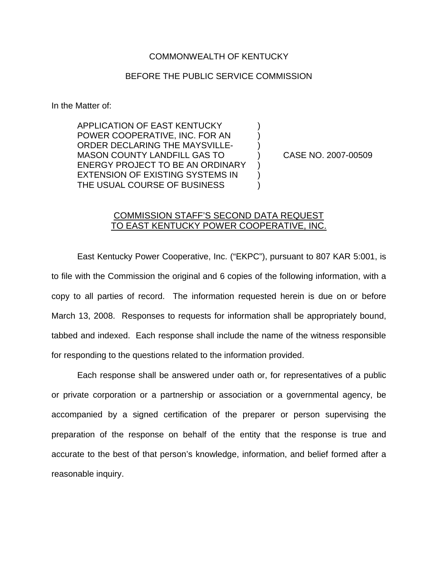## COMMONWEALTH OF KENTUCKY

## BEFORE THE PUBLIC SERVICE COMMISSION

In the Matter of:

APPLICATION OF EAST KENTUCKY ) POWER COOPERATIVE, INC. FOR AN ) ORDER DECLARING THE MAYSVILLE-MASON COUNTY LANDFILL GAS TO ) CASE NO. 2007-00509 ENERGY PROJECT TO BE AN ORDINARY EXTENSION OF EXISTING SYSTEMS IN ) THE USUAL COURSE OF BUSINESS  $\qquad \qquad )$ 

## COMMISSION STAFF'S SECOND DATA REQUEST TO EAST KENTUCKY POWER COOPERATIVE, INC.

East Kentucky Power Cooperative, Inc. ("EKPC"), pursuant to 807 KAR 5:001, is to file with the Commission the original and 6 copies of the following information, with a copy to all parties of record. The information requested herein is due on or before March 13, 2008. Responses to requests for information shall be appropriately bound, tabbed and indexed. Each response shall include the name of the witness responsible for responding to the questions related to the information provided.

Each response shall be answered under oath or, for representatives of a public or private corporation or a partnership or association or a governmental agency, be accompanied by a signed certification of the preparer or person supervising the preparation of the response on behalf of the entity that the response is true and accurate to the best of that person's knowledge, information, and belief formed after a reasonable inquiry.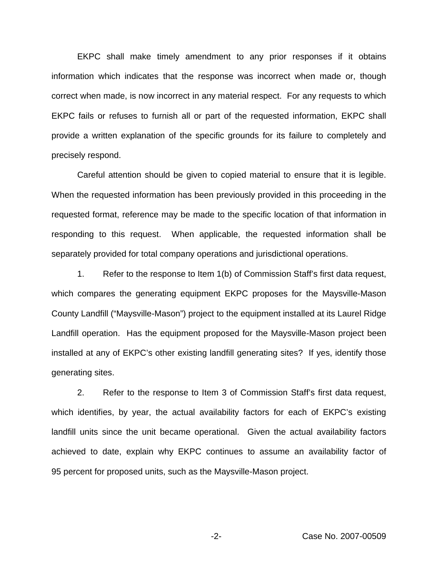EKPC shall make timely amendment to any prior responses if it obtains information which indicates that the response was incorrect when made or, though correct when made, is now incorrect in any material respect. For any requests to which EKPC fails or refuses to furnish all or part of the requested information, EKPC shall provide a written explanation of the specific grounds for its failure to completely and precisely respond.

Careful attention should be given to copied material to ensure that it is legible. When the requested information has been previously provided in this proceeding in the requested format, reference may be made to the specific location of that information in responding to this request. When applicable, the requested information shall be separately provided for total company operations and jurisdictional operations.

1. Refer to the response to Item 1(b) of Commission Staff's first data request, which compares the generating equipment EKPC proposes for the Maysville-Mason County Landfill ("Maysville-Mason") project to the equipment installed at its Laurel Ridge Landfill operation. Has the equipment proposed for the Maysville-Mason project been installed at any of EKPC's other existing landfill generating sites? If yes, identify those generating sites.

2. Refer to the response to Item 3 of Commission Staff's first data request, which identifies, by year, the actual availability factors for each of EKPC's existing landfill units since the unit became operational. Given the actual availability factors achieved to date, explain why EKPC continues to assume an availability factor of 95 percent for proposed units, such as the Maysville-Mason project.